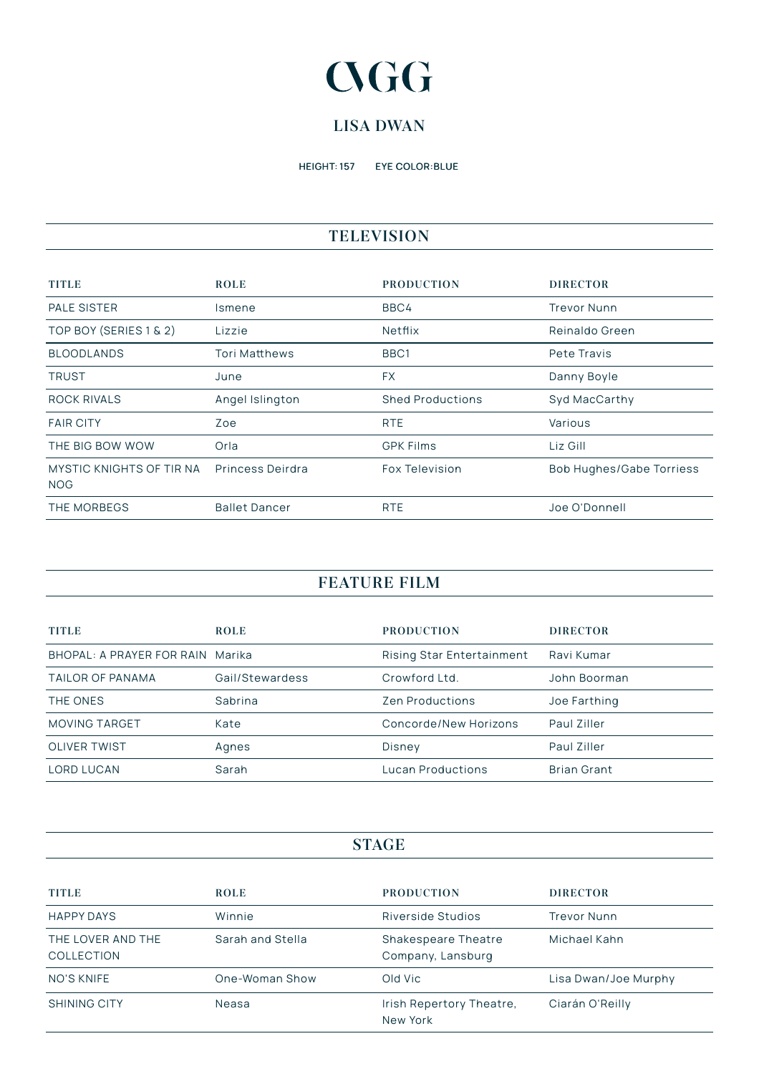# **CGG**

### **LISA DWAN**

HEIGHT: 157 EYE COLOR:BLUE

# **TELEVISION**

| <b>TITLE</b>                           | <b>ROLE</b>          | <b>PRODUCTION</b>       | <b>DIRECTOR</b>                 |
|----------------------------------------|----------------------|-------------------------|---------------------------------|
| <b>PALE SISTER</b>                     | Ismene               | BBC4                    | <b>Trevor Nunn</b>              |
| TOP BOY (SERIES 1 & 2)                 | Lizzie               | Netflix                 | Reinaldo Green                  |
| <b>BLOODLANDS</b>                      | <b>Tori Matthews</b> | BBC <sub>1</sub>        | Pete Travis                     |
| <b>TRUST</b>                           | June                 | <b>FX</b>               | Danny Boyle                     |
| ROCK RIVALS                            | Angel Islington      | <b>Shed Productions</b> | Syd MacCarthy                   |
| <b>FAIR CITY</b>                       | Zoe                  | <b>RTE</b>              | Various                         |
| THE BIG BOW WOW                        | Orla                 | <b>GPK Films</b>        | Liz Gill                        |
| MYSTIC KNIGHTS OF TIR NA<br><b>NOG</b> | Princess Deirdra     | Fox Television          | <b>Bob Hughes/Gabe Torriess</b> |
| THE MORBEGS                            | <b>Ballet Dancer</b> | <b>RTE</b>              | Joe O'Donnell                   |

# **FEATURE FILM**

| <b>TITLE</b>                     | <b>ROLE</b>     | <b>PRODUCTION</b>         | <b>DIRECTOR</b>    |
|----------------------------------|-----------------|---------------------------|--------------------|
| BHOPAL: A PRAYER FOR RAIN Marika |                 | Rising Star Entertainment | Ravi Kumar         |
| TAILOR OF PANAMA                 | Gail/Stewardess | Crowford Ltd.             | John Boorman       |
| THE ONES                         | Sabrina         | <b>Zen Productions</b>    | Joe Farthing       |
| <b>MOVING TARGET</b>             | Kate            | Concorde/New Horizons     | Paul Ziller        |
| <b>OLIVER TWIST</b>              | Agnes           | Disney                    | Paul Ziller        |
| <b>LORD LUCAN</b>                | Sarah           | Lucan Productions         | <b>Brian Grant</b> |

#### **STAGE**

| <b>TITLE</b>                           | <b>ROLE</b>      | <b>PRODUCTION</b>                        | <b>DIRECTOR</b>      |
|----------------------------------------|------------------|------------------------------------------|----------------------|
| <b>HAPPY DAYS</b>                      | Winnie           | Riverside Studios                        | <b>Trevor Nunn</b>   |
| THE LOVER AND THE<br><b>COLLECTION</b> | Sarah and Stella | Shakespeare Theatre<br>Company, Lansburg | Michael Kahn         |
| NO'S KNIFE                             | One-Woman Show   | Old Vic                                  | Lisa Dwan/Joe Murphy |
| <b>SHINING CITY</b>                    | Neasa            | Irish Repertory Theatre,<br>New York     | Ciarán O'Reilly      |